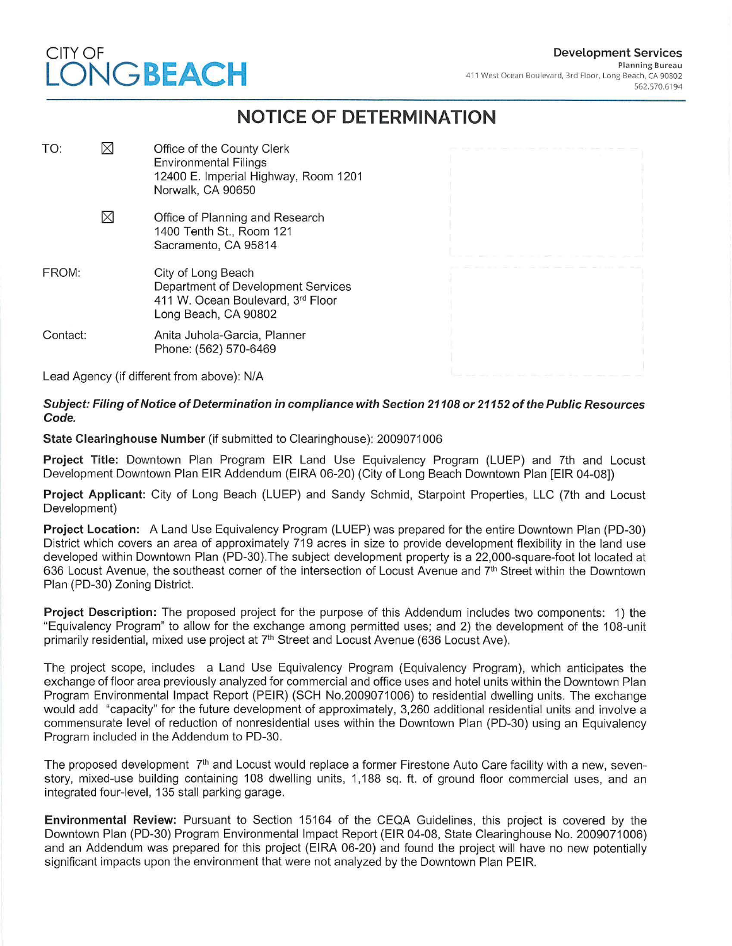### **Development Services**  Planning Bureau 411 West Ocean Boulevard, 3rd Floor, Long Beach, CA 90802 562.570.6194

# CITY OF **LONG BEACH**

## **NOTICE OF DETERMINATION**

| TO:      | $\boxtimes$ | Office of the County Clerk<br><b>Environmental Filings</b><br>12400 E. Imperial Highway, Room 1201<br>Norwalk, CA 90650 |  |
|----------|-------------|-------------------------------------------------------------------------------------------------------------------------|--|
|          | $\boxtimes$ | Office of Planning and Research<br>1400 Tenth St., Room 121<br>Sacramento, CA 95814                                     |  |
| FROM:    |             | City of Long Beach<br>Department of Development Services<br>411 W. Ocean Boulevard, 3rd Floor<br>Long Beach, CA 90802   |  |
| Contact: |             | Anita Juhola-Garcia, Planner<br>Phone: (562) 570-6469                                                                   |  |
|          |             | Lead Agency (if different from above): N/A                                                                              |  |

**Subject: Filing of Notice of Determination in compliance with Section 21108 or 21152 of the Public Resources Code.** 

**State Clearinghouse Number** (if submitted to Clearinghouse): 2009071006

**Project Title:** Downtown Plan Program EIR Land Use Equivalency Program (LUEP) and 7th and Locust Development Downtown Plan EIR Addendum (EIRA 06-20) (City of Long Beach Downtown Plan [EIR 04-08])

**Project Applicant:** City of Long Beach (LUEP) and Sandy Schmid, Starpoint Properties, LLC (7th and Locust Development)

**Project Location:** A Land Use Equivalency Program (LUEP) was prepared for the entire Downtown Plan (PD-30) District which covers an area of approximately 719 acres in size to provide development flexibility in the land use developed within Downtown Plan (PD-30).The subject development property is a 22,000-square-foot lot located at 636 Locust Avenue, the southeast corner of the intersection of Locust Avenue and 7th Street within the Downtown Plan (PD-30) Zoning District.

**Project Description:** The proposed project for the purpose of this Addendum includes two components: 1) the "Equivalency Program" to allow for the exchange among permitted uses; and 2) the development of the 108-unit primarily residential, mixed use project at 7<sup>th</sup> Street and Locust Avenue (636 Locust Ave).

The project scope, includes a Land Use Equivalency Program (Equivalency Program), which anticipates the exchange offloor area previously analyzed for commercial and office uses and hotel units within the Downtown Plan Program Environmental Impact Report (PEIR) (SCH No.2009071006) to residential dwelling units. The exchange would add "capacity" for the future development of approximately, 3,260 additional residential units and involve a commensurate level of reduction of nonresidential uses within the Downtown Plan (PD-30) using an Equivalency Program included in the Addendum to PD-30.

The proposed development 7<sup>th</sup> and Locust would replace a former Firestone Auto Care facility with a new, sevenstory, mixed-use building containing 108 dwelling units, 1,188 sq. ft. of ground floor commercial uses, and an integrated four-level, 135 stall parking garage.

**Environmental Review:** Pursuant to Section 15164 of the CEQA Guidelines, this project is covered by the Downtown Plan (PD-30) Program Environmental Impact Report (EIR 04-08, State Clearinghouse No. 2009071006) and an Addendum was prepared for this project (EIRA 06-20) and found the project will have no new potentially significant impacts upon the environment that were not analyzed by the Downtown Plan PEIR.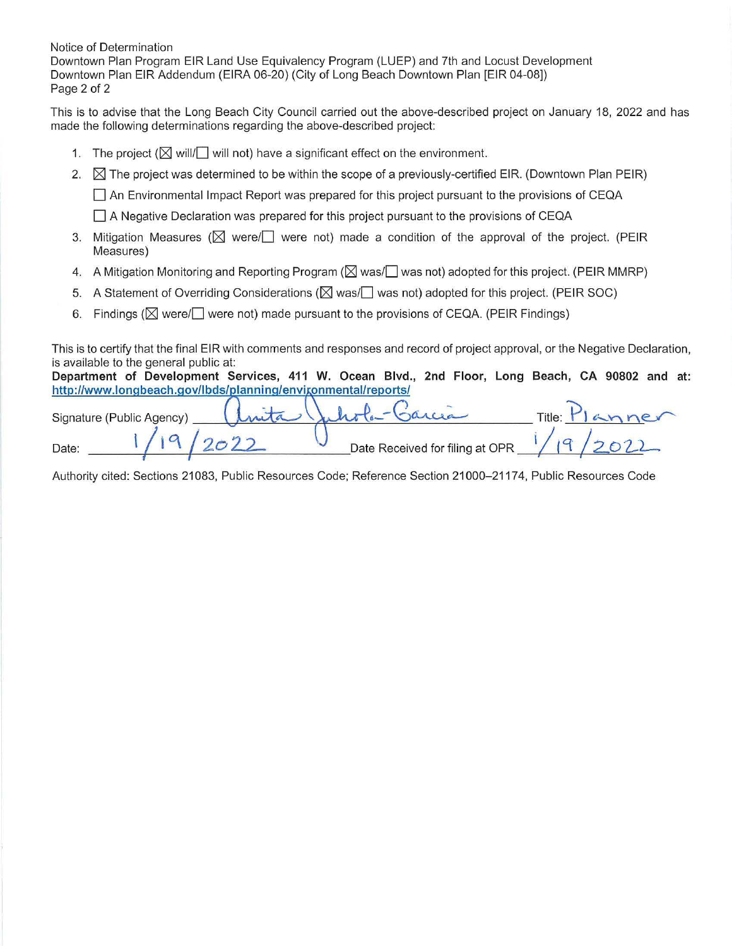Notice of Determination Downtown Plan Program EIR Land Use Equivalency Program (LUEP) and 7th and Locust Development Downtown Plan EIR Addendum (EIRA 06-20) (City of Long Beach Downtown Plan [EIR 04-08]) Page 2 of 2

This is to advise that the Long Beach City Council carried out the above-described project on January 18, 2022 and has made the following determinations regarding the above-described project:

- 1. The project ( $\boxtimes$  will/ $\Box$  will not) have a significant effect on the environment.
- 2.  $\boxtimes$  The project was determined to be within the scope of a previously-certified EIR. (Downtown Plan PEIR)

D An Environmental Impact Report was prepared for this project pursuant to the provisions of CEQA

 $\Box$  A Negative Declaration was prepared for this project pursuant to the provisions of CEQA

- 3. Mitigation Measures ( $\boxtimes$  were/ $\Box$  were not) made a condition of the approval of the project. (PEIR Measures)
- 4. A Mitigation Monitoring and Reporting Program ( $\boxtimes$  was/ $\Box$  was not) adopted for this project. (PEIR MMRP)
- 5. A Statement of Overriding Considerations ( $\boxtimes$  was/ $\Box$  was not) adopted for this project. (PEIR SOC)
- 6. Findings ( $\boxtimes$  were/ $\Box$  were not) made pursuant to the provisions of CEQA. (PEIR Findings)

This is to certify that the final EIR with comments and responses and record of project approval, or the Negative Declaration, is available to the general public at:

**Department of Development Services, 411 W. Ocean Blvd., 2nd Floor, Long Beach, CA 90802 and at:**  http://www.longbeach.gov/lbds/planning/envigonmental/reports/

| http://www.longbeach.gov/lbds/planning/envigonmental/reports/ |                                 |        |        |
|---------------------------------------------------------------|---------------------------------|--------|--------|
| Signature (Public Agency)                                     | Inita Juliola-Garcia            | Title: | lanner |
| Date:                                                         | Date Received for filing at OPR |        |        |

Authority cited: Sections 21083, Public Resources Code; Reference Section 21000-21174, Public Resources Code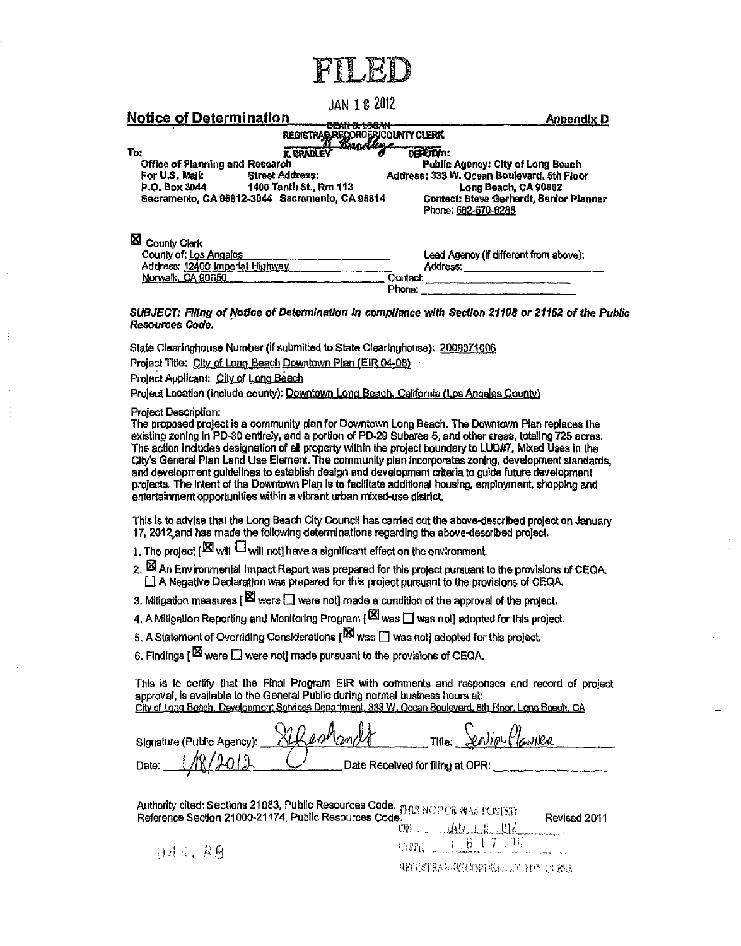## **JAN 1 8 2012**

Annondio D

| <b>RULIUS UL DUCIBILIQUU I</b>         |                                                                            | мирении п                                                      |
|----------------------------------------|----------------------------------------------------------------------------|----------------------------------------------------------------|
|                                        | <b>LICAUDS LOCAT</b><br>REGISTRAR RECORDERICOUNTY CLERK<br><u>Brodture</u> |                                                                |
| To:                                    | <b>K. BRADLEY</b>                                                          | DEREIDIN:                                                      |
| <b>Office of Planning and Research</b> |                                                                            | Public Agency: City of Long Beach                              |
| For U.S. Mail:                         | <b>Street Address:</b>                                                     | Address: 333 W. Ocean Boulevard, 5th Floor                     |
| P.O. Box 3044                          | 1400 Tenth St., Rm 113                                                     | Long Beach, CA 90802                                           |
|                                        | Sacramento, CA 95812-3044 Sacramento, CA 95814                             | Contact: Steve Gerhardt, Senior Planner<br>Phone: 562-570-6288 |
| ⊠<br><b>County Clerk</b>               |                                                                            |                                                                |
| County of: Los Angeles                 |                                                                            | Lead Agency (if different from above):                         |
| Address: 12400 Imperial Highway        |                                                                            | Address:                                                       |

SUBJECT: Filing of Notice of Determination in compliance with Section 21108 or 21152 of the Public Resources Code.

Contact Phone:

State Clearinghouse Number (if submitted to State Clearinghouse): 2009071006

Project Title: City of Long Beach Downtown Plan (EIR 04-08)

Project Applicant: City of Long Beach

Mation of Datormination

Project Location (include county): Downtown Long Beach, California (Los Angeles County)

**Project Description:** 

Norwalk, CA 90650

The proposed project is a community plan for Downtown Long Beach. The Downtown Plan replaces the existing zoning in PD-30 entirely, and a portion of PD-29 Subarea 5, and other areas, totaling 725 acres. The action includes designation of all property within the project boundary to LUD#7, Mixed Uses in the City's General Plan Land Use Element. The community plan incorporates zoning, development standards, and development guidelines to establish design and development criteria to guide future development projects. The intent of the Downtown Plan is to facilitate additional housing, employment, shopping and entertainment opportunities within a vibrant urban mixed-use district.

This is to advise that the Long Beach City Council has carried out the above-described project on January 17, 2012 and has made the following determinations regarding the above-described project.

1. The project  $[\mathbf{X}]$  will  $\Box$  will not) have a significant effect on the environment.

2. El An Environmental Impact Report was prepared for this project pursuant to the provisions of CEQA. □ A Negative Declaration was prepared for this project pursuant to the provisions of CEQA.

3. Mitigation measures  $[\boxtimes]$  were  $\Box$  were not] made a condition of the approval of the project.

4. A Mitigation Reporting and Monitoring Program  $\lceil \mathbb{X} \rceil$  was  $\Box$  was not adopted for this project.

5. A Statement of Overriding Considerations  $[\boxtimes]$  was  $\Box$  was not) adopted for this project.

6. Findings  $\lceil \mathbb{E} \rceil$  were  $\Box$  were not! made pursuant to the provisions of CEQA.

This is to certify that the Final Program EIR with comments and responses and record of project approval, is available to the General Public during normal business hours at: City of Long Beach, Development Services Department, 333 W. Ocean Boulevard, 6th Floor, Long Beach, CA

| Signature (Public Agency): XIRenhandt |                                  | Title: Sention Plannea |  |
|---------------------------------------|----------------------------------|------------------------|--|
| Date: $1/8/2012$                      | Date Received for filing at OPR: |                        |  |

| , juthority cited: Sections 21083, Public Resources Code. $p_{\rm AB}$ increas $p_{\rm AB}$ $p_{\rm AB}$ $p_{\rm AB}$ |    |         |              |
|-----------------------------------------------------------------------------------------------------------------------|----|---------|--------------|
| Reference Section 21000-21174, Public Resources Code.                                                                 |    |         | Revised 2011 |
|                                                                                                                       | mu | 用的 主要比比 |              |

 $U(371) = \frac{1}{2} \sqrt{6} \sqrt{1} \sqrt{7 \sqrt{9} \sqrt{1}}$ 

2011年10月 段期

**HENSTEAD BELONGED AND CLEAR**